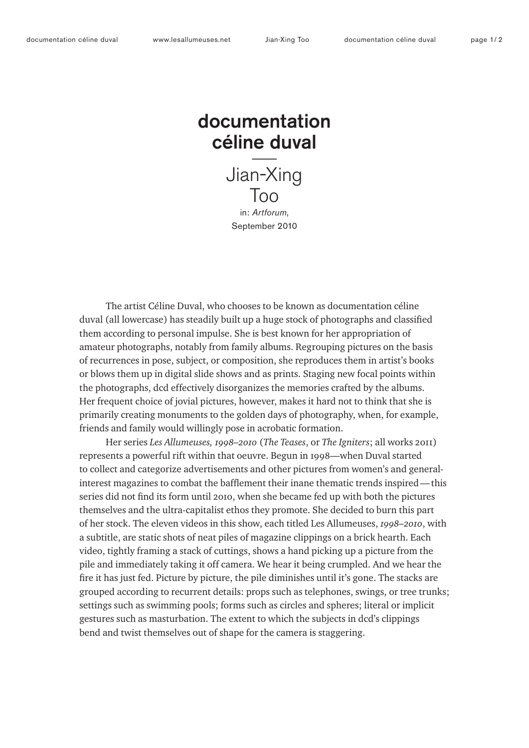# documentation céline duval

Jian-Xing Too in: *Artforum*, September 2010

The artist Céline Duval, who chooses to be known as documentation céline duval (all lowercase) has steadily built up a huge stock of photographs and classified them according to personal impulse. She is best known for her appropriation of amateur photographs, notably from family albums. Regrouping pictures on the basis of recurrences in pose, subject, or composition, she reproduces them in artist's books or blows them up in digital slide shows and as prints. Staging new focal points within the photographs, dcd effectively disorganizes the memories crafted by the albums. Her frequent choice of jovial pictures, however, makes it hard not to think that she is primarily creating monuments to the golden days of photography, when, for example, friends and family would willingly pose in acrobatic formation.

Her series *Les Allumeuses, 1998–2010* (*The Teases*, or *The Igniters*; all works 2011) represents a powerful rift within that oeuvre. Begun in 1998—when Duval started to collect and categorize advertisements and other pictures from women's and generalinterest magazines to combat the bafflement their inane thematic trends inspired—this series did not find its form until 2010, when she became fed up with both the pictures themselves and the ultra-capitalist ethos they promote. She decided to burn this part of her stock. The eleven videos in this show, each titled Les Allumeuses, *1998–2010*, with a subtitle, are static shots of neat piles of magazine clippings on a brick hearth. Each video, tightly framing a stack of cuttings, shows a hand picking up a picture from the pile and immediately taking it off camera. We hear it being crumpled. And we hear the fire it has just fed. Picture by picture, the pile diminishes until it's gone. The stacks are grouped according to recurrent details: props such as telephones, swings, or tree trunks; settings such as swimming pools; forms such as circles and spheres; literal or implicit gestures such as masturbation. The extent to which the subjects in dcd's clippings bend and twist themselves out of shape for the camera is staggering.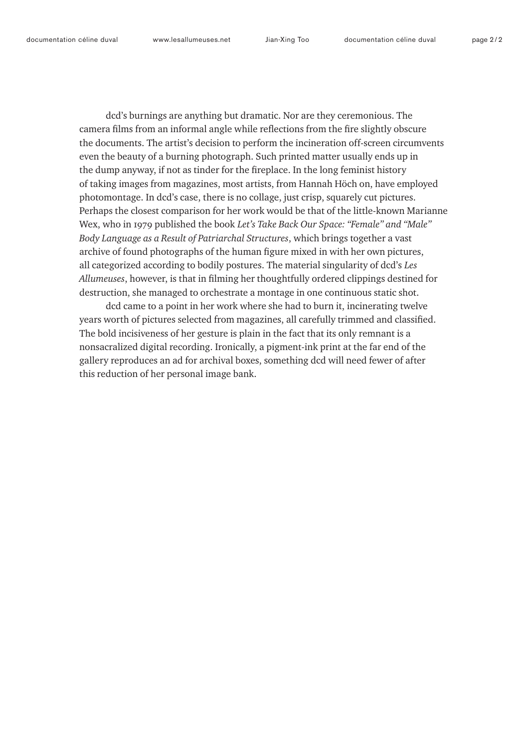dcd's burnings are anything but dramatic. Nor are they ceremonious. The camera films from an informal angle while reflections from the fire slightly obscure the documents. The artist's decision to perform the incineration off-screen circumvents even the beauty of a burning photograph. Such printed matter usually ends up in the dump anyway, if not as tinder for the fireplace. In the long feminist history of taking images from magazines, most artists, from Hannah Höch on, have employed photomontage. In dcd's case, there is no collage, just crisp, squarely cut pictures. Perhaps the closest comparison for her work would be that of the little-known Marianne Wex, who in 1979 published the book *Let's Take Back Our Space: "Female" and "Male" Body Language as a Result of Patriarchal Structures*, which brings together a vast archive of found photographs of the human figure mixed in with her own pictures, all categorized according to bodily postures. The material singularity of dcd's *Les Allumeuses*, however, is that in filming her thoughtfully ordered clippings destined for destruction, she managed to orchestrate a montage in one continuous static shot.

dcd came to a point in her work where she had to burn it, incinerating twelve years worth of pictures selected from magazines, all carefully trimmed and classified. The bold incisiveness of her gesture is plain in the fact that its only remnant is a nonsacralized digital recording. Ironically, a pigment-ink print at the far end of the gallery reproduces an ad for archival boxes, something dcd will need fewer of after this reduction of her personal image bank.